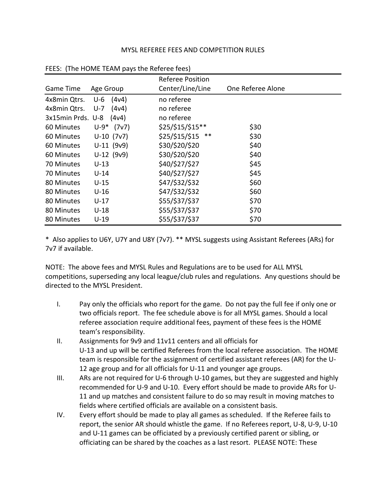## MYSL REFEREE FEES AND COMPETITION RULES

|                         |                 | <b>Referee Position</b> |                   |
|-------------------------|-----------------|-------------------------|-------------------|
| Game Time               | Age Group       | Center/Line/Line        | One Referee Alone |
| 4x8min Qtrs.            | $U-6$ (4 $v$ 4) | no referee              |                   |
| 4x8min Qtrs.            | (4v4)<br>U-7    | no referee              |                   |
| 3x15min Prds. U-8 (4v4) |                 | no referee              |                   |
| 60 Minutes              | $U-9*$ (7v7)    | \$25/\$15/\$15**        | \$30              |
| 60 Minutes              | $U-10$ (7v7)    | \$25/\$15/\$15<br>$***$ | \$30              |
| 60 Minutes              | $U-11$ (9v9)    | \$30/\$20/\$20          | \$40              |
| 60 Minutes              | $U-12$ (9v9)    | \$30/\$20/\$20          | \$40              |
| 70 Minutes              | $U-13$          | \$40/\$27/\$27          | \$45              |
| 70 Minutes              | $U-14$          | \$40/\$27/\$27          | \$45              |
| 80 Minutes              | $U-15$          | \$47/\$32/\$32          | \$60              |
| 80 Minutes              | U-16            | \$47/\$32/\$32          | \$60              |
| 80 Minutes              | U-17            | \$55/\$37/\$37          | \$70              |
| 80 Minutes              | U-18            | \$55/\$37/\$37          | \$70              |
| 80 Minutes              | $U-19$          | \$55/\$37/\$37          | \$70              |

## FEES: (The HOME TEAM pays the Referee fees)

\* Also applies to U6Y, U7Y and U8Y (7v7). \*\* MYSL suggests using Assistant Referees (ARs) for 7v7 if available.

NOTE: The above fees and MYSL Rules and Regulations are to be used for ALL MYSL competitions, superseding any local league/club rules and regulations. Any questions should be directed to the MYSL President.

- I. Pay only the officials who report for the game. Do not pay the full fee if only one or two officials report. The fee schedule above is for all MYSL games. Should a local referee association require additional fees, payment of these fees is the HOME team's responsibility.
- II. Assignments for 9v9 and 11v11 centers and all officials for U-13 and up will be certified Referees from the local referee association. The HOME team is responsible for the assignment of certified assistant referees (AR) for the U-12 age group and for all officials for U-11 and younger age groups.
- III. ARs are not required for U-6 through U-10 games, but they are suggested and highly recommended for U-9 and U-10. Every effort should be made to provide ARs for U-11 and up matches and consistent failure to do so may result in moving matches to fields where certified officials are available on a consistent basis.
- IV. Every effort should be made to play all games as scheduled. If the Referee fails to report, the senior AR should whistle the game. If no Referees report, U-8, U-9, U-10 and U-11 games can be officiated by a previously certified parent or sibling, or officiating can be shared by the coaches as a last resort. PLEASE NOTE: These